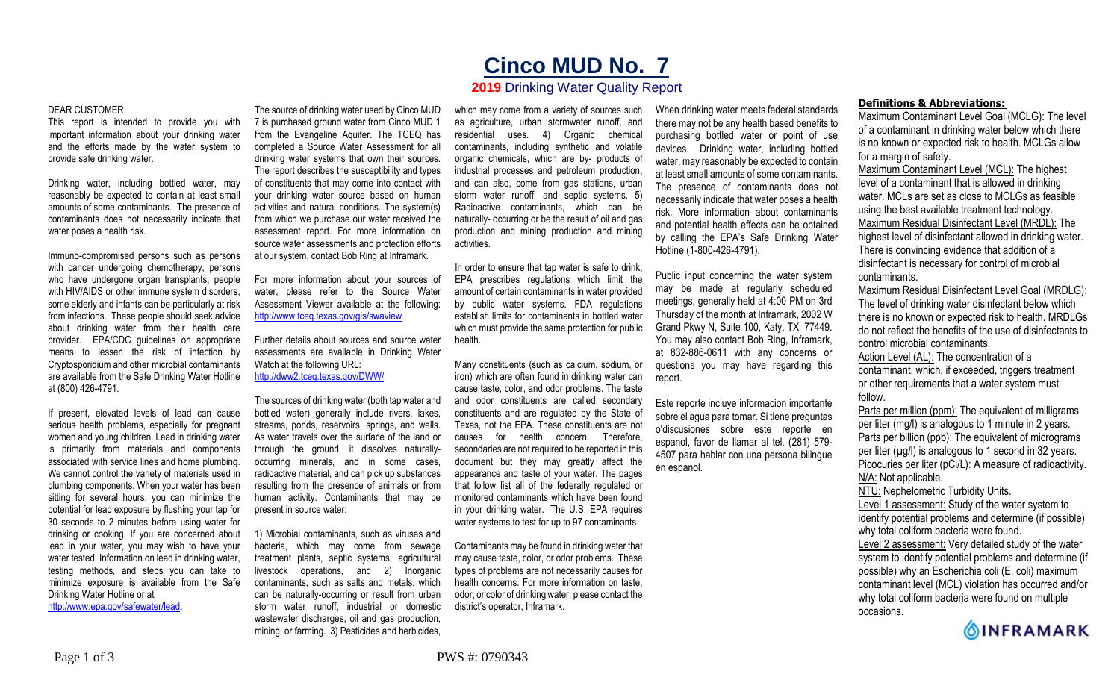## DEAR CUSTOMER:

This report is intended to provide you with important information about your drinking water and the efforts made by the water system to provide safe drinking water.

Drinking water, including bottled water, may reasonably be expected to contain at least small amounts of some contaminants. The presence of contaminants does not necessarily indicate that water poses a health risk.

Immuno-compromised persons such as persons with cancer undergoing chemotherapy, persons who have undergone organ transplants, people with HIV/AIDS or other immune system disorders, some elderly and infants can be particularly at risk from infections. These people should seek advice about drinking water from their health care provider. EPA/CDC guidelines on appropriate means to lessen the risk of infection by Cryptosporidium and other microbial contaminants are available from the Safe Drinking Water Hotline at (800) 426-4791.

If present, elevated levels of lead can cause serious health problems, especially for pregnant women and young children. Lead in drinking water is primarily from materials and components associated with service lines and home plumbing. We cannot control the variety of materials used in plumbing components. When your water has been sitting for several hours, you can minimize the potential for lead exposure by flushing your tap for 30 seconds to 2 minutes before using water for drinking or cooking. If you are concerned about lead in your water, you may wish to have your water tested. Information on lead in drinking water, testing methods, and steps you can take to minimize exposure is available from the Safe Drinking Water Hotline or at http://www.epa.gov/safewater/lead.

The source of drinking water used by Cinco MUD 7 is purchased ground water from Cinco MUD 1 from the Evangeline Aquifer. The TCEQ has completed a Source Water Assessment for all drinking water systems that own their sources. The report describes the susceptibility and types of constituents that may come into contact with your drinking water source based on human activities and natural conditions. The system(s) from which we purchase our water received the assessment report. For more information on source water assessments and protection efforts

For more information about your sources of water, please refer to the Source Water Assessment Viewer available at the following: http://www.tceq.texas.gov/gis/swaview

at our system, contact Bob Ring at Inframark.

Further details about sources and source water assessments are available in Drinking Water Watch at the following URL: http://dww2.tceq.texas.gov/DWW/

The sources of drinking water (both tap water and bottled water) generally include rivers, lakes, streams, ponds, reservoirs, springs, and wells. As water travels over the surface of the land or through the ground, it dissolves naturallyoccurring minerals, and in some cases, radioactive material, and can pick up substances resulting from the presence of animals or from human activity. Contaminants that may be present in source water:

1) Microbial contaminants, such as viruses and bacteria, which may come from sewage treatment plants, septic systems, agricultural livestock operations, and 2) Inorganic contaminants, such as salts and metals, which can be naturally-occurring or result from urban storm water runoff, industrial or domestic wastewater discharges, oil and gas production, mining, or farming. 3) Pesticides and herbicides,

which may come from a variety of sources such as agriculture, urban stormwater runoff, and residential uses. 4) Organic chemical contaminants, including synthetic and volatile organic chemicals, which are by- products of industrial processes and petroleum production, and can also, come from gas stations, urban storm water runoff, and septic systems. 5) Radioactive contaminants, which can be naturally- occurring or be the result of oil and gas production and mining production and mining activities.

**Cinco MUD No. 7 2019** Drinking Water Quality Report

In order to ensure that tap water is safe to drink, EPA prescribes regulations which limit the amount of certain contaminants in water provided by public water systems. FDA regulations establish limits for contaminants in bottled water which must provide the same protection for public health.

Many constituents (such as calcium, sodium, or iron) which are often found in drinking water can cause taste, color, and odor problems. The taste and odor constituents are called secondary constituents and are regulated by the State of Texas, not the EPA. These constituents are not causes for health concern. Therefore, secondaries are not required to be reported in this document but they may greatly affect the appearance and taste of your water. The pages that follow list all of the federally regulated or monitored contaminants which have been found in your drinking water. The U.S. EPA requires water systems to test for up to 97 contaminants.

Contaminants may be found in drinking water that may cause taste, color, or odor problems. These types of problems are not necessarily causes for health concerns. For more information on taste, odor, or color of drinking water, please contact the district's operator, Inframark.

When drinking water meets federal standards there may not be any health based benefits to purchasing bottled water or point of use devices. Drinking water, including bottled water, may reasonably be expected to contain at least small amounts of some contaminants. The presence of contaminants does not necessarily indicate that water poses a health risk. More information about contaminants and potential health effects can be obtained by calling the EPA's Safe Drinking Water Hotline (1-800-426-4791).

Public input concerning the water system may be made at regularly scheduled meetings, generally held at 4:00 PM on 3rd Thursday of the month at Inframark, 2002 W Grand Pkwy N, Suite 100, Katy, TX 77449. You may also contact Bob Ring, Inframark, at 832-886-0611 with any concerns or questions you may have regarding this report.

Este reporte incluye informacion importante sobre el agua para tomar. Si tiene preguntas o'discusiones sobre este reporte en espanol, favor de llamar al tel. (281) 579- 4507 para hablar con una persona bilingue en espanol.

## **Definitions & Abbreviations:**

Maximum Contaminant Level Goal (MCLG): The level of a contaminant in drinking water below which there is no known or expected risk to health. MCLGs allow for a margin of safety.

Maximum Contaminant Level (MCL): The highest level of a contaminant that is allowed in drinking water. MCLs are set as close to MCLGs as feasible using the best available treatment technology. Maximum Residual Disinfectant Level (MRDL): The highest level of disinfectant allowed in drinking water. There is convincing evidence that addition of a disinfectant is necessary for control of microbial contaminants.

Maximum Residual Disinfectant Level Goal (MRDLG): The level of drinking water disinfectant below which there is no known or expected risk to health. MRDLGs do not reflect the benefits of the use of disinfectants to control microbial contaminants.

Action Level (AL): The concentration of a contaminant, which, if exceeded, triggers treatment or other requirements that a water system must follow.

Parts per million (ppm): The equivalent of milligrams per liter (mg/l) is analogous to 1 minute in 2 years. Parts per billion (ppb): The equivalent of micrograms per liter  $(\mu g/l)$  is analogous to 1 second in 32 years. Picocuries per liter (pCi/L): A measure of radioactivity. N/A: Not applicable. NTU: Nephelometric Turbidity Units. Level 1 assessment: Study of the water system to

identify potential problems and determine (if possible) why total coliform bacteria were found.

Level 2 assessment: Very detailed study of the water system to identify potential problems and determine (if possible) why an Escherichia coli (E. coli) maximum contaminant level (MCL) violation has occurred and/or why total coliform bacteria were found on multiple occasions.

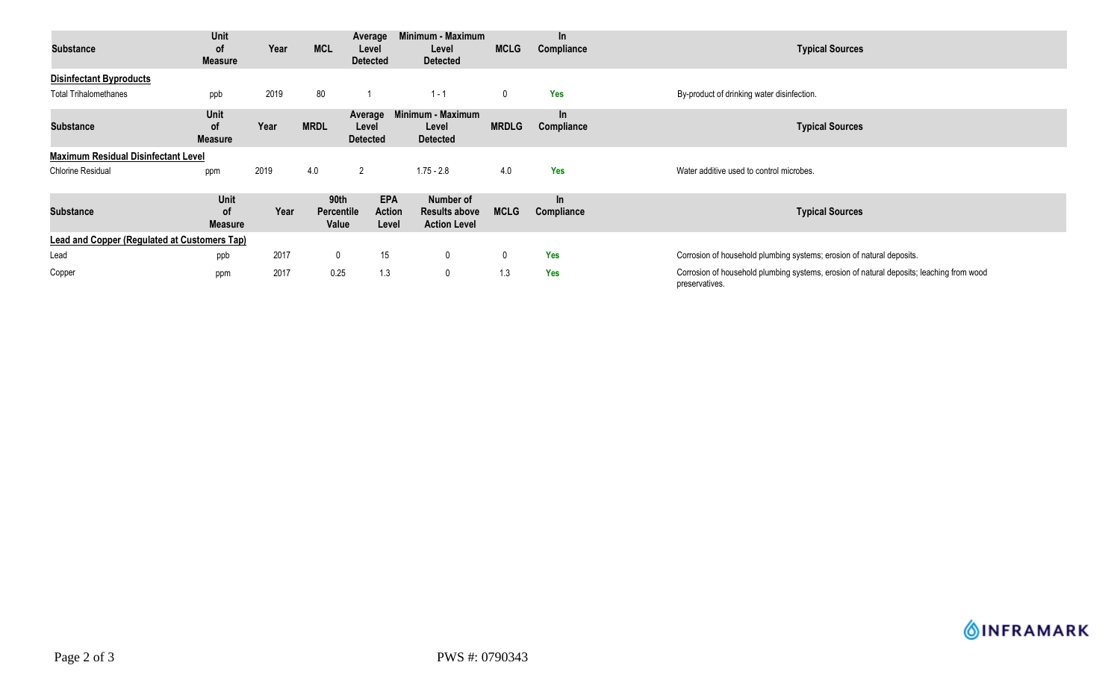| <b>Substance</b>                             | Unit<br>0f<br><b>Measure</b>               | Year | <b>MCL</b>                         | Average<br>Level<br><b>Detected</b>  | Minimum - Maximum<br>Level<br><b>Detected</b>            | <b>MCLG</b>  | $\ln$<br>Compliance | <b>Typical Sources</b>                                                                                     |
|----------------------------------------------|--------------------------------------------|------|------------------------------------|--------------------------------------|----------------------------------------------------------|--------------|---------------------|------------------------------------------------------------------------------------------------------------|
| <b>Disinfectant Byproducts</b>               |                                            |      |                                    |                                      |                                                          |              |                     |                                                                                                            |
| <b>Total Trihalomethanes</b>                 | ppb                                        | 2019 | 80                                 |                                      | $1 - 1$                                                  | 0            | <b>Yes</b>          | By-product of drinking water disinfection.                                                                 |
| <b>Substance</b>                             | <b>Unit</b><br><b>of</b><br><b>Measure</b> | Year | <b>MRDL</b>                        | Average<br>Level<br><b>Detected</b>  | Minimum - Maximum<br>Level<br><b>Detected</b>            | <b>MRDLG</b> | In.<br>Compliance   | <b>Typical Sources</b>                                                                                     |
| <b>Maximum Residual Disinfectant Level</b>   |                                            |      |                                    |                                      |                                                          |              |                     |                                                                                                            |
| <b>Chlorine Residual</b>                     | ppm                                        | 2019 | 4.0                                | $\overline{2}$                       | $1.75 - 2.8$                                             | 4.0          | Yes                 | Water additive used to control microbes.                                                                   |
| <b>Substance</b>                             | Unit<br>0f<br><b>Measure</b>               | Year | 90th<br><b>Percentile</b><br>Value | <b>EPA</b><br><b>Action</b><br>Level | Number of<br><b>Results above</b><br><b>Action Level</b> | <b>MCLG</b>  | $\ln$<br>Compliance | <b>Typical Sources</b>                                                                                     |
| Lead and Copper (Regulated at Customers Tap) |                                            |      |                                    |                                      |                                                          |              |                     |                                                                                                            |
| Lead                                         | ppb                                        | 2017 | $\mathbf 0$                        | 15                                   | $\mathbf 0$                                              | 0            | <b>Yes</b>          | Corrosion of household plumbing systems; erosion of natural deposits.                                      |
| Copper                                       | ppm                                        | 2017 | 0.25                               | 1.3                                  | $\mathbf 0$                                              | 1.3          | Yes                 | Corrosion of household plumbing systems, erosion of natural deposits; leaching from wood<br>preservatives. |